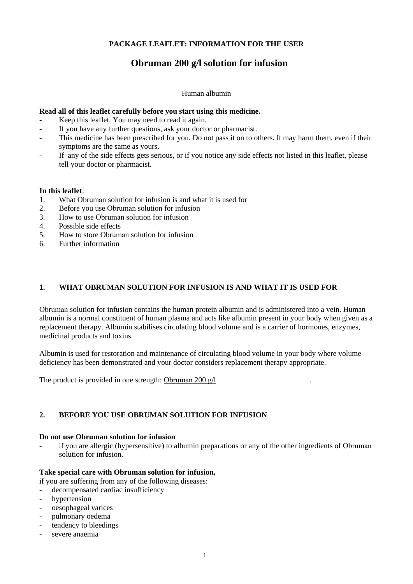# **PACKAGE LEAFLET: INFORMATION FOR THE USER**

# **Obruman 200 g/l solution for infusion**

Human albumin

# **Read all of this leaflet carefully before you start using this medicine.**

- Keep this leaflet. You may need to read it again.
- If you have any further questions, ask your doctor or pharmacist.
- This medicine has been prescribed for you. Do not pass it on to others. It may harm them, even if their symptoms are the same as yours.
- If any of the side effects gets serious, or if you notice any side effects not listed in this leaflet, please tell your doctor or pharmacist.

# **In this leaflet**:

- 1. What Obruman solution for infusion is and what it is used for
- 2. Before you use Obruman solution for infusion
- 3. How to use Obruman solution for infusion
- 4. Possible side effects
- 5. How to store Obruman solution for infusion
- 6. Further information

# **1. WHAT OBRUMAN SOLUTION FOR INFUSION IS AND WHAT IT IS USED FOR**

Obruman solution for infusion contains the human protein albumin and is administered into a vein. Human albumin is a normal constituent of human plasma and acts like albumin present in your body when given as a replacement therapy. Albumin stabilises circulating blood volume and is a carrier of hormones, enzymes, medicinal products and toxins.

Albumin is used for restoration and maintenance of circulating blood volume in your body where volume deficiency has been demonstrated and your doctor considers replacement therapy appropriate.

The product is provided in one strength: Obruman 200 g/l

# **2. BEFORE YOU USE OBRUMAN SOLUTION FOR INFUSION**

# **Do not use Obruman solution for infusion**

if you are allergic (hypersensitive) to albumin preparations or any of the other ingredients of Obruman solution for infusion.

# **Take special care with Obruman solution for infusion,**

if you are suffering from any of the following diseases:

- decompensated cardiac insufficiency
- hypertension
- oesophageal varices
- pulmonary oedema
- tendency to bleedings
- severe anaemia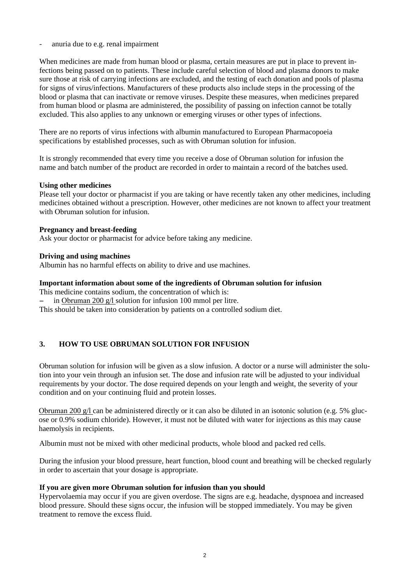- anuria due to e.g. renal impairment

When medicines are made from human blood or plasma, certain measures are put in place to prevent infections being passed on to patients. These include careful selection of blood and plasma donors to make sure those at risk of carrying infections are excluded, and the testing of each donation and pools of plasma for signs of virus/infections. Manufacturers of these products also include steps in the processing of the blood or plasma that can inactivate or remove viruses. Despite these measures, when medicines prepared from human blood or plasma are administered, the possibility of passing on infection cannot be totally excluded. This also applies to any unknown or emerging viruses or other types of infections.

There are no reports of virus infections with albumin manufactured to European Pharmacopoeia specifications by established processes, such as with Obruman solution for infusion.

It is strongly recommended that every time you receive a dose of Obruman solution for infusion the name and batch number of the product are recorded in order to maintain a record of the batches used.

#### **Using other medicines**

Please tell your doctor or pharmacist if you are taking or have recently taken any other medicines, including medicines obtained without a prescription. However, other medicines are not known to affect your treatment with Obruman solution for infusion.

# **Pregnancy and breast-feeding**

Ask your doctor or pharmacist for advice before taking any medicine.

#### **Driving and using machines**

Albumin has no harmful effects on ability to drive and use machines.

#### **Important information about some of the ingredients of Obruman solution for infusion**

This medicine contains sodium, the concentration of which is:

- in Obruman 200 g/l solution for infusion 100 mmol per litre.

This should be taken into consideration by patients on a controlled sodium diet.

# **3. HOW TO USE OBRUMAN SOLUTION FOR INFUSION**

Obruman solution for infusion will be given as a slow infusion. A doctor or a nurse will administer the solution into your vein through an infusion set. The dose and infusion rate will be adjusted to your individual requirements by your doctor. The dose required depends on your length and weight, the severity of your condition and on your continuing fluid and protein losses.

Obruman 200 g/l can be administered directly or it can also be diluted in an isotonic solution (e.g. 5% glucose or 0.9% sodium chloride). However, it must not be diluted with water for injections as this may cause haemolysis in recipients.

Albumin must not be mixed with other medicinal products, whole blood and packed red cells.

During the infusion your blood pressure, heart function, blood count and breathing will be checked regularly in order to ascertain that your dosage is appropriate.

# **If you are given more Obruman solution for infusion than you should**

Hypervolaemia may occur if you are given overdose. The signs are e.g. headache, dyspnoea and increased blood pressure. Should these signs occur, the infusion will be stopped immediately. You may be given treatment to remove the excess fluid.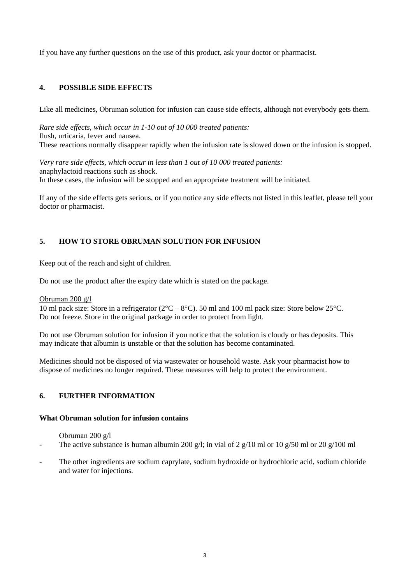If you have any further questions on the use of this product, ask your doctor or pharmacist.

# **4. POSSIBLE SIDE EFFECTS**

Like all medicines, Obruman solution for infusion can cause side effects, although not everybody gets them.

*Rare side effects, which occur in 1-10 out of 10 000 treated patients:* flush, urticaria, fever and nausea. These reactions normally disappear rapidly when the infusion rate is slowed down or the infusion is stopped.

*Very rare side effects, which occur in less than 1 out of 10 000 treated patients:* anaphylactoid reactions such as shock. In these cases, the infusion will be stopped and an appropriate treatment will be initiated.

If any of the side effects gets serious, or if you notice any side effects not listed in this leaflet, please tell your doctor or pharmacist.

# **5. HOW TO STORE OBRUMAN SOLUTION FOR INFUSION**

Keep out of the reach and sight of children.

Do not use the product after the expiry date which is stated on the package.

# Obruman 200 g/l

10 ml pack size: Store in a refrigerator (2°C – 8°C). 50 ml and 100 ml pack size: Store below 25°C. Do not freeze. Store in the original package in order to protect from light.

Do not use Obruman solution for infusion if you notice that the solution is cloudy or has deposits. This may indicate that albumin is unstable or that the solution has become contaminated.

Medicines should not be disposed of via wastewater or household waste. Ask your pharmacist how to dispose of medicines no longer required. These measures will help to protect the environment.

# **6. FURTHER INFORMATION**

# **What Obruman solution for infusion contains**

Obruman 200 g/l

- The active substance is human albumin 200 g/l; in vial of 2 g/10 ml or 10 g/50 ml or 20 g/100 ml
- The other ingredients are sodium caprylate, sodium hydroxide or hydrochloric acid, sodium chloride and water for injections.